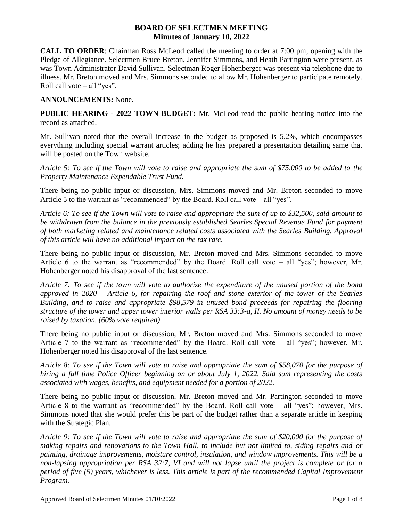## **BOARD OF SELECTMEN MEETING Minutes of January 10, 2022**

**CALL TO ORDER**: Chairman Ross McLeod called the meeting to order at 7:00 pm; opening with the Pledge of Allegiance. Selectmen Bruce Breton, Jennifer Simmons, and Heath Partington were present, as was Town Administrator David Sullivan. Selectman Roger Hohenberger was present via telephone due to illness. Mr. Breton moved and Mrs. Simmons seconded to allow Mr. Hohenberger to participate remotely. Roll call vote  $-$  all "yes".

## **ANNOUNCEMENTS:** None.

**PUBLIC HEARING - 2022 TOWN BUDGET:** Mr. McLeod read the public hearing notice into the record as attached.

Mr. Sullivan noted that the overall increase in the budget as proposed is 5.2%, which encompasses everything including special warrant articles; adding he has prepared a presentation detailing same that will be posted on the Town website.

*Article 5: To see if the Town will vote to raise and appropriate the sum of \$75,000 to be added to the Property Maintenance Expendable Trust Fund.* 

There being no public input or discussion, Mrs. Simmons moved and Mr. Breton seconded to move Article 5 to the warrant as "recommended" by the Board. Roll call vote – all "yes".

*Article 6: To see if the Town will vote to raise and appropriate the sum of up to \$32,500, said amount to be withdrawn from the balance in the previously established Searles Special Revenue Fund for payment of both marketing related and maintenance related costs associated with the Searles Building. Approval of this article will have no additional impact on the tax rate.*

There being no public input or discussion, Mr. Breton moved and Mrs. Simmons seconded to move Article 6 to the warrant as "recommended" by the Board. Roll call vote – all "yes"; however, Mr. Hohenberger noted his disapproval of the last sentence.

*Article 7: To see if the town will vote to authorize the expenditure of the unused portion of the bond approved in 2020 – Article 6, for repairing the roof and stone exterior of the tower of the Searles Building, and to raise and appropriate \$98,579 in unused bond proceeds for repairing the flooring structure of the tower and upper tower interior walls per RSA 33:3-a, II. No amount of money needs to be raised by taxation. (60% vote required).* 

There being no public input or discussion, Mr. Breton moved and Mrs. Simmons seconded to move Article 7 to the warrant as "recommended" by the Board. Roll call vote – all "yes"; however, Mr. Hohenberger noted his disapproval of the last sentence.

*Article 8: To see if the Town will vote to raise and appropriate the sum of \$58,070 for the purpose of hiring a full time Police Officer beginning on or about July 1, 2022. Said sum representing the costs associated with wages, benefits, and equipment needed for a portion of 2022.*

There being no public input or discussion, Mr. Breton moved and Mr. Partington seconded to move Article 8 to the warrant as "recommended" by the Board. Roll call vote – all "yes"; however, Mrs. Simmons noted that she would prefer this be part of the budget rather than a separate article in keeping with the Strategic Plan.

*Article 9: To see if the Town will vote to raise and appropriate the sum of \$20,000 for the purpose of making repairs and renovations to the Town Hall, to include but not limited to, siding repairs and or painting, drainage improvements, moisture control, insulation, and window improvements. This will be a non-lapsing appropriation per RSA 32:7, VI and will not lapse until the project is complete or for a period of five (5) years, whichever is less. This article is part of the recommended Capital Improvement Program.*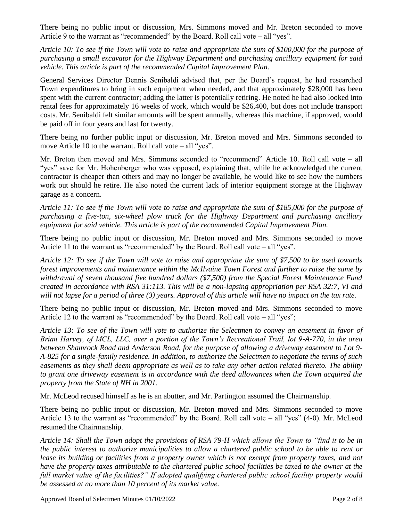There being no public input or discussion, Mrs. Simmons moved and Mr. Breton seconded to move Article 9 to the warrant as "recommended" by the Board. Roll call vote – all "yes".

*Article 10: To see if the Town will vote to raise and appropriate the sum of \$100,000 for the purpose of purchasing a small excavator for the Highway Department and purchasing ancillary equipment for said vehicle. This article is part of the recommended Capital Improvement Plan.*

General Services Director Dennis Senibaldi advised that, per the Board's request, he had researched Town expenditures to bring in such equipment when needed, and that approximately \$28,000 has been spent with the current contractor; adding the latter is potentially retiring. He noted he had also looked into rental fees for approximately 16 weeks of work, which would be \$26,400, but does not include transport costs. Mr. Senibaldi felt similar amounts will be spent annually, whereas this machine, if approved, would be paid off in four years and last for twenty.

There being no further public input or discussion, Mr. Breton moved and Mrs. Simmons seconded to move Article 10 to the warrant. Roll call vote – all "yes".

Mr. Breton then moved and Mrs. Simmons seconded to "recommend" Article 10. Roll call vote – all "yes" save for Mr. Hohenberger who was opposed, explaining that, while he acknowledged the current contractor is cheaper than others and may no longer be available, he would like to see how the numbers work out should he retire. He also noted the current lack of interior equipment storage at the Highway garage as a concern.

*Article 11: To see if the Town will vote to raise and appropriate the sum of \$185,000 for the purpose of purchasing a five-ton, six-wheel plow truck for the Highway Department and purchasing ancillary equipment for said vehicle. This article is part of the recommended Capital Improvement Plan.*

There being no public input or discussion, Mr. Breton moved and Mrs. Simmons seconded to move Article 11 to the warrant as "recommended" by the Board. Roll call vote – all "yes".

*Article 12: To see if the Town will vote to raise and appropriate the sum of \$7,500 to be used towards forest improvements and maintenance within the McIlvaine Town Forest and further to raise the same by withdrawal of seven thousand five hundred dollars (\$7,500) from the Special Forest Maintenance Fund created in accordance with RSA 31:113. This will be a non-lapsing appropriation per RSA 32:7, VI and will not lapse for a period of three (3) years. Approval of this article will have no impact on the tax rate.*

There being no public input or discussion, Mr. Breton moved and Mrs. Simmons seconded to move Article 12 to the warrant as "recommended" by the Board. Roll call vote – all "yes";

*Article 13: To see of the Town will vote to authorize the Selectmen to convey an easement in favor of Brian Harvey, of MCL, LLC, over a portion of the Town's Recreational Trail, lot 9-A-770, in the area between Shamrock Road and Anderson Road, for the purpose of allowing a driveway easement to Lot 9- A-825 for a single-family residence. In addition, to authorize the Selectmen to negotiate the terms of such easements as they shall deem appropriate as well as to take any other action related thereto. The ability to grant one driveway easement is in accordance with the deed allowances when the Town acquired the property from the State of NH in 2001.*

Mr. McLeod recused himself as he is an abutter, and Mr. Partington assumed the Chairmanship.

There being no public input or discussion, Mr. Breton moved and Mrs. Simmons seconded to move Article 13 to the warrant as "recommended" by the Board. Roll call vote – all "yes" (4-0). Mr. McLeod resumed the Chairmanship.

*Article 14: Shall the Town adopt the provisions of RSA 79-H which allows the Town to "find it to be in the public interest to authorize municipalities to allow a chartered public school to be able to rent or lease its building or facilities from a property owner which is not exempt from property taxes, and not have the property taxes attributable to the chartered public school facilities be taxed to the owner at the full market value of the facilities?" If adopted qualifying chartered public school facility property would be assessed at no more than 10 percent of its market value.*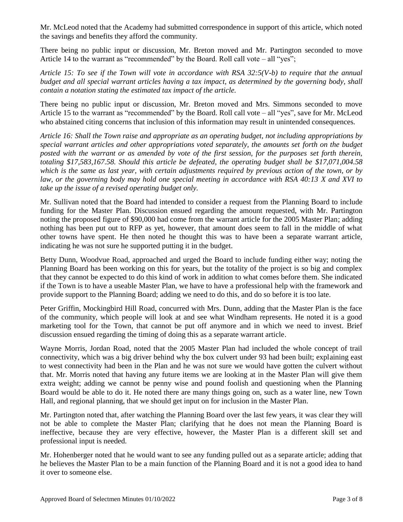Mr. McLeod noted that the Academy had submitted correspondence in support of this article, which noted the savings and benefits they afford the community.

There being no public input or discussion, Mr. Breton moved and Mr. Partington seconded to move Article 14 to the warrant as "recommended" by the Board. Roll call vote – all "yes";

*Article 15: To see if the Town will vote in accordance with RSA 32:5(V-b) to require that the annual budget and all special warrant articles having a tax impact, as determined by the governing body, shall contain a notation stating the estimated tax impact of the article.*

There being no public input or discussion, Mr. Breton moved and Mrs. Simmons seconded to move Article 15 to the warrant as "recommended" by the Board. Roll call vote – all "yes", save for Mr. McLeod who abstained citing concerns that inclusion of this information may result in unintended consequences.

*Article 16: Shall the Town raise and appropriate as an operating budget, not including appropriations by special warrant articles and other appropriations voted separately, the amounts set forth on the budget posted with the warrant or as amended by vote of the first session, for the purposes set forth therein, totaling \$17,583,167.58. Should this article be defeated, the operating budget shall be \$17,071,004.58 which is the same as last year, with certain adjustments required by previous action of the town, or by law, or the governing body may hold one special meeting in accordance with RSA 40:13 X and XVI to take up the issue of a revised operating budget only.*

Mr. Sullivan noted that the Board had intended to consider a request from the Planning Board to include funding for the Master Plan. Discussion ensued regarding the amount requested, with Mr. Partington noting the proposed figure of \$90,000 had come from the warrant article for the 2005 Master Plan; adding nothing has been put out to RFP as yet, however, that amount does seem to fall in the middle of what other towns have spent. He then noted he thought this was to have been a separate warrant article, indicating he was not sure he supported putting it in the budget.

Betty Dunn, Woodvue Road, approached and urged the Board to include funding either way; noting the Planning Board has been working on this for years, but the totality of the project is so big and complex that they cannot be expected to do this kind of work in addition to what comes before them. She indicated if the Town is to have a useable Master Plan, we have to have a professional help with the framework and provide support to the Planning Board; adding we need to do this, and do so before it is too late.

Peter Griffin, Mockingbird Hill Road, concurred with Mrs. Dunn, adding that the Master Plan is the face of the community, which people will look at and see what Windham represents. He noted it is a good marketing tool for the Town, that cannot be put off anymore and in which we need to invest. Brief discussion ensued regarding the timing of doing this as a separate warrant article.

Wayne Morris, Jordan Road, noted that the 2005 Master Plan had included the whole concept of trail connectivity, which was a big driver behind why the box culvert under 93 had been built; explaining east to west connectivity had been in the Plan and he was not sure we would have gotten the culvert without that. Mr. Morris noted that having any future items we are looking at in the Master Plan will give them extra weight; adding we cannot be penny wise and pound foolish and questioning when the Planning Board would be able to do it. He noted there are many things going on, such as a water line, new Town Hall, and regional planning, that we should get input on for inclusion in the Master Plan.

Mr. Partington noted that, after watching the Planning Board over the last few years, it was clear they will not be able to complete the Master Plan; clarifying that he does not mean the Planning Board is ineffective, because they are very effective, however, the Master Plan is a different skill set and professional input is needed.

Mr. Hohenberger noted that he would want to see any funding pulled out as a separate article; adding that he believes the Master Plan to be a main function of the Planning Board and it is not a good idea to hand it over to someone else.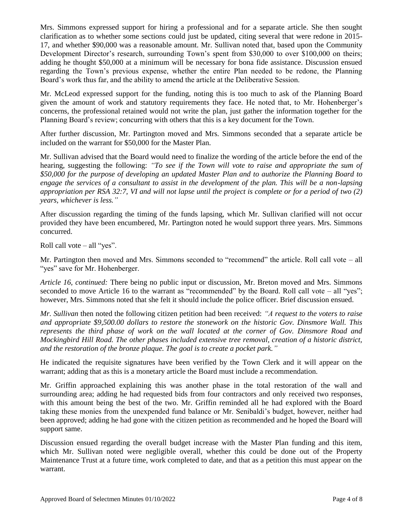Mrs. Simmons expressed support for hiring a professional and for a separate article. She then sought clarification as to whether some sections could just be updated, citing several that were redone in 2015- 17, and whether \$90,000 was a reasonable amount. Mr. Sullivan noted that, based upon the Community Development Director's research, surrounding Town's spent from \$30,000 to over \$100,000 on theirs; adding he thought \$50,000 at a minimum will be necessary for bona fide assistance. Discussion ensued regarding the Town's previous expense, whether the entire Plan needed to be redone, the Planning Board's work thus far, and the ability to amend the article at the Deliberative Session.

Mr. McLeod expressed support for the funding, noting this is too much to ask of the Planning Board given the amount of work and statutory requirements they face. He noted that, to Mr. Hohenberger's concerns, the professional retained would not write the plan, just gather the information together for the Planning Board's review; concurring with others that this is a key document for the Town.

After further discussion, Mr. Partington moved and Mrs. Simmons seconded that a separate article be included on the warrant for \$50,000 for the Master Plan.

Mr. Sullivan advised that the Board would need to finalize the wording of the article before the end of the hearing, suggesting the following: *"To see if the Town will vote to raise and appropriate the sum of \$50,000 for the purpose of developing an updated Master Plan and to authorize the Planning Board to engage the services of a consultant to assist in the development of the plan. This will be a non-lapsing appropriation per RSA 32:7, VI and will not lapse until the project is complete or for a period of two (2) years, whichever is less."*

After discussion regarding the timing of the funds lapsing, which Mr. Sullivan clarified will not occur provided they have been encumbered, Mr. Partington noted he would support three years. Mrs. Simmons concurred.

Roll call vote  $-$  all "yes".

Mr. Partington then moved and Mrs. Simmons seconded to "recommend" the article. Roll call vote – all "yes" save for Mr. Hohenberger.

*Article 16, continued:* There being no public input or discussion, Mr. Breton moved and Mrs. Simmons seconded to move Article 16 to the warrant as "recommended" by the Board. Roll call vote – all "yes"; however, Mrs. Simmons noted that she felt it should include the police officer. Brief discussion ensued.

*Mr. Sullivan* then noted the following citizen petition had been received: *"A request to the voters to raise and appropriate \$9,500.00 dollars to restore the stonework on the historic Gov. Dinsmore Wall. This represents the third phase of work on the wall located at the corner of Gov. Dinsmore Road and Mockingbird Hill Road. The other phases included extensive tree removal, creation of a historic district, and the restoration of the bronze plaque. The goal is to create a pocket park."*

He indicated the requisite signatures have been verified by the Town Clerk and it will appear on the warrant; adding that as this is a monetary article the Board must include a recommendation.

Mr. Griffin approached explaining this was another phase in the total restoration of the wall and surrounding area; adding he had requested bids from four contractors and only received two responses, with this amount being the best of the two. Mr. Griffin reminded all he had explored with the Board taking these monies from the unexpended fund balance or Mr. Senibaldi's budget, however, neither had been approved; adding he had gone with the citizen petition as recommended and he hoped the Board will support same.

Discussion ensued regarding the overall budget increase with the Master Plan funding and this item, which Mr. Sullivan noted were negligible overall, whether this could be done out of the Property Maintenance Trust at a future time, work completed to date, and that as a petition this must appear on the warrant.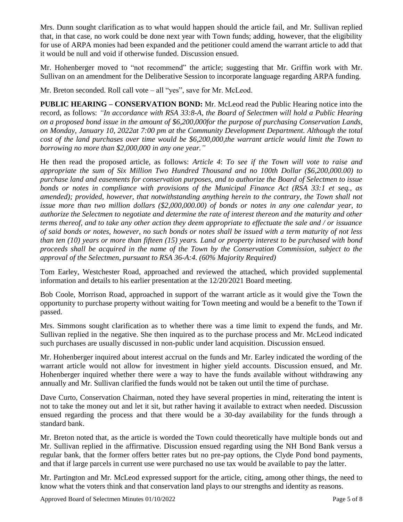Mrs. Dunn sought clarification as to what would happen should the article fail, and Mr. Sullivan replied that, in that case, no work could be done next year with Town funds; adding, however, that the eligibility for use of ARPA monies had been expanded and the petitioner could amend the warrant article to add that it would be null and void if otherwise funded. Discussion ensued.

Mr. Hohenberger moved to "not recommend" the article; suggesting that Mr. Griffin work with Mr. Sullivan on an amendment for the Deliberative Session to incorporate language regarding ARPA funding.

Mr. Breton seconded. Roll call vote – all "yes", save for Mr. McLeod.

**PUBLIC HEARING – CONSERVATION BOND:** Mr. McLeod read the Public Hearing notice into the record, as follows: *"In accordance with RSA 33:8-A, the Board of Selectmen will hold a Public Hearing on a proposed bond issue in the amount of \$6,200,000for the purpose of purchasing Conservation Lands, on Monday, January 10, 2022at 7:00 pm at the Community Development Department. Although the total cost of the land purchases over time would be \$6,200,000,the warrant article would limit the Town to borrowing no more than \$2,000,000 in any one year."*

He then read the proposed article, as follows: *Article 4*: *To see if the Town will vote to raise and appropriate the sum of Six Million Two Hundred Thousand and no 100th Dollar (\$6,200,000.00) to purchase land and easements for conservation purposes, and to authorize the Board of Selectmen to issue bonds or notes in compliance with provisions of the Municipal Finance Act (RSA 33:1 et seq., as amended); provided, however, that notwithstanding anything herein to the contrary, the Town shall not issue more than two million dollars (\$2,000,000.00) of bonds or notes in any one calendar year, to authorize the Selectmen to negotiate and determine the rate of interest thereon and the maturity and other terms thereof, and to take any other action they deem appropriate to effectuate the sale and / or issuance of said bonds or notes, however, no such bonds or notes shall be issued with a term maturity of not less than ten (10) years or more than fifteen (15) years. Land or property interest to be purchased with bond proceeds shall be acquired in the name of the Town by the Conservation Commission, subject to the approval of the Selectmen, pursuant to RSA 36-A:4. (60% Majority Required)*

Tom Earley, Westchester Road, approached and reviewed the attached, which provided supplemental information and details to his earlier presentation at the 12/20/2021 Board meeting.

Bob Coole, Morrison Road, approached in support of the warrant article as it would give the Town the opportunity to purchase property without waiting for Town meeting and would be a benefit to the Town if passed.

Mrs. Simmons sought clarification as to whether there was a time limit to expend the funds, and Mr. Sullivan replied in the negative. She then inquired as to the purchase process and Mr. McLeod indicated such purchases are usually discussed in non-public under land acquisition. Discussion ensued.

Mr. Hohenberger inquired about interest accrual on the funds and Mr. Earley indicated the wording of the warrant article would not allow for investment in higher yield accounts. Discussion ensued, and Mr. Hohenberger inquired whether there were a way to have the funds available without withdrawing any annually and Mr. Sullivan clarified the funds would not be taken out until the time of purchase.

Dave Curto, Conservation Chairman, noted they have several properties in mind, reiterating the intent is not to take the money out and let it sit, but rather having it available to extract when needed. Discussion ensued regarding the process and that there would be a 30-day availability for the funds through a standard bank.

Mr. Breton noted that, as the article is worded the Town could theoretically have multiple bonds out and Mr. Sullivan replied in the affirmative. Discussion ensued regarding using the NH Bond Bank versus a regular bank, that the former offers better rates but no pre-pay options, the Clyde Pond bond payments, and that if large parcels in current use were purchased no use tax would be available to pay the latter.

Mr. Partington and Mr. McLeod expressed support for the article, citing, among other things, the need to know what the voters think and that conservation land plays to our strengths and identity as reasons.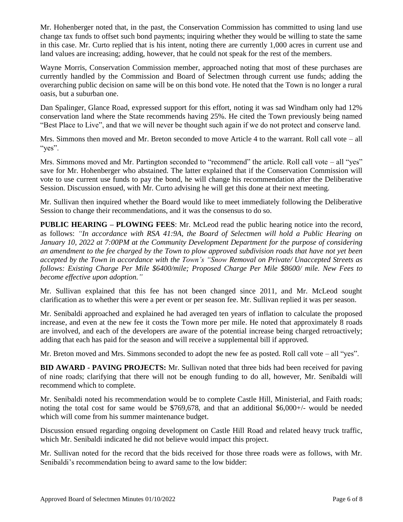Mr. Hohenberger noted that, in the past, the Conservation Commission has committed to using land use change tax funds to offset such bond payments; inquiring whether they would be willing to state the same in this case. Mr. Curto replied that is his intent, noting there are currently 1,000 acres in current use and land values are increasing; adding, however, that he could not speak for the rest of the members.

Wayne Morris, Conservation Commission member, approached noting that most of these purchases are currently handled by the Commission and Board of Selectmen through current use funds; adding the overarching public decision on same will be on this bond vote. He noted that the Town is no longer a rural oasis, but a suburban one.

Dan Spalinger, Glance Road, expressed support for this effort, noting it was sad Windham only had 12% conservation land where the State recommends having 25%. He cited the Town previously being named "Best Place to Live", and that we will never be thought such again if we do not protect and conserve land.

Mrs. Simmons then moved and Mr. Breton seconded to move Article 4 to the warrant. Roll call vote – all "yes".

Mrs. Simmons moved and Mr. Partington seconded to "recommend" the article. Roll call vote – all "yes" save for Mr. Hohenberger who abstained. The latter explained that if the Conservation Commission will vote to use current use funds to pay the bond, he will change his recommendation after the Deliberative Session. Discussion ensued, with Mr. Curto advising he will get this done at their next meeting.

Mr. Sullivan then inquired whether the Board would like to meet immediately following the Deliberative Session to change their recommendations, and it was the consensus to do so.

**PUBLIC HEARING – PLOWING FEES**: Mr. McLeod read the public hearing notice into the record, as follows: *"In accordance with RSA 41:9A, the Board of Selectmen will hold a Public Hearing on January 10, 2022 at 7:00PM at the Community Development Department for the purpose of considering an amendment to the fee charged by the Town to plow approved subdivision roads that have not yet been accepted by the Town in accordance with the Town's "Snow Removal on Private/ Unaccepted Streets as follows: Existing Charge Per Mile \$6400/mile; Proposed Charge Per Mile \$8600/ mile. New Fees to become effective upon adoption."*

Mr. Sullivan explained that this fee has not been changed since 2011, and Mr. McLeod sought clarification as to whether this were a per event or per season fee. Mr. Sullivan replied it was per season.

Mr. Senibaldi approached and explained he had averaged ten years of inflation to calculate the proposed increase, and even at the new fee it costs the Town more per mile. He noted that approximately 8 roads are involved, and each of the developers are aware of the potential increase being charged retroactively; adding that each has paid for the season and will receive a supplemental bill if approved.

Mr. Breton moved and Mrs. Simmons seconded to adopt the new fee as posted. Roll call vote – all "yes".

**BID AWARD - PAVING PROJECTS:** Mr. Sullivan noted that three bids had been received for paving of nine roads; clarifying that there will not be enough funding to do all, however, Mr. Senibaldi will recommend which to complete.

Mr. Senibaldi noted his recommendation would be to complete Castle Hill, Ministerial, and Faith roads; noting the total cost for same would be  $$769,678$ , and that an additional  $$6,000+/-$  would be needed which will come from his summer maintenance budget.

Discussion ensued regarding ongoing development on Castle Hill Road and related heavy truck traffic, which Mr. Senibaldi indicated he did not believe would impact this project.

Mr. Sullivan noted for the record that the bids received for those three roads were as follows, with Mr. Senibaldi's recommendation being to award same to the low bidder: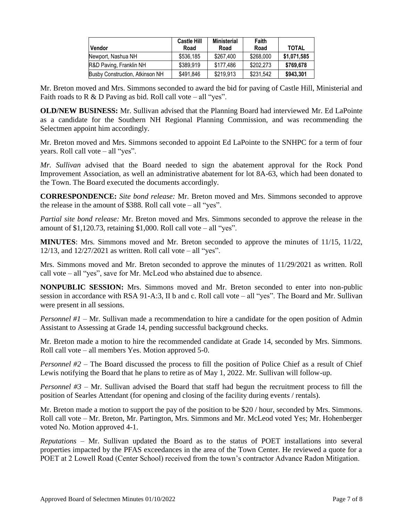| <b>Vendor</b>                   | <b>Castle Hill</b><br>Road | <b>Ministerial</b><br>Road | Faith<br>Road | <b>TOTAL</b> |
|---------------------------------|----------------------------|----------------------------|---------------|--------------|
| Newport, Nashua NH              | \$536,185                  | \$267.400                  | \$268,000     | \$1,071,585  |
| R&D Paving, Franklin NH         | \$389,919                  | \$177.486                  | \$202.273     | \$769,678    |
| Busby Construction, Atkinson NH | \$491,846                  | \$219,913                  | \$231.542     | \$943,301    |

Mr. Breton moved and Mrs. Simmons seconded to award the bid for paving of Castle Hill, Ministerial and Faith roads to R & D Paving as bid. Roll call vote – all "yes".

**OLD/NEW BUSINESS:** Mr. Sullivan advised that the Planning Board had interviewed Mr. Ed LaPointe as a candidate for the Southern NH Regional Planning Commission, and was recommending the Selectmen appoint him accordingly.

Mr. Breton moved and Mrs. Simmons seconded to appoint Ed LaPointe to the SNHPC for a term of four years. Roll call vote – all "yes".

*Mr. Sullivan* advised that the Board needed to sign the abatement approval for the Rock Pond Improvement Association, as well an administrative abatement for lot 8A-63, which had been donated to the Town. The Board executed the documents accordingly.

**CORRESPONDENCE:** *Site bond release:* Mr. Breton moved and Mrs. Simmons seconded to approve the release in the amount of \$388. Roll call vote – all "yes".

*Partial site bond release:* Mr. Breton moved and Mrs. Simmons seconded to approve the release in the amount of  $$1,120.73$ , retaining  $$1,000$ . Roll call vote – all "yes".

**MINUTES**: Mrs. Simmons moved and Mr. Breton seconded to approve the minutes of 11/15, 11/22, 12/13, and  $12/27/2021$  as written. Roll call vote – all "yes".

Mrs. Simmons moved and Mr. Breton seconded to approve the minutes of 11/29/2021 as written. Roll call vote – all "yes", save for Mr. McLeod who abstained due to absence.

**NONPUBLIC SESSION:** Mrs. Simmons moved and Mr. Breton seconded to enter into non-public session in accordance with RSA 91-A:3, II b and c. Roll call vote – all "yes". The Board and Mr. Sullivan were present in all sessions.

*Personnel #1* – Mr. Sullivan made a recommendation to hire a candidate for the open position of Admin Assistant to Assessing at Grade 14, pending successful background checks.

Mr. Breton made a motion to hire the recommended candidate at Grade 14, seconded by Mrs. Simmons. Roll call vote – all members Yes. Motion approved 5-0.

*Personnel #2* – The Board discussed the process to fill the position of Police Chief as a result of Chief Lewis notifying the Board that he plans to retire as of May 1, 2022. Mr. Sullivan will follow-up.

*Personnel #3* – Mr. Sullivan advised the Board that staff had begun the recruitment process to fill the position of Searles Attendant (for opening and closing of the facility during events / rentals).

Mr. Breton made a motion to support the pay of the position to be \$20 / hour, seconded by Mrs. Simmons. Roll call vote – Mr. Breton, Mr. Partington, Mrs. Simmons and Mr. McLeod voted Yes; Mr. Hohenberger voted No. Motion approved 4-1.

*Reputations* – Mr. Sullivan updated the Board as to the status of POET installations into several properties impacted by the PFAS exceedances in the area of the Town Center. He reviewed a quote for a POET at 2 Lowell Road (Center School) received from the town's contractor Advance Radon Mitigation.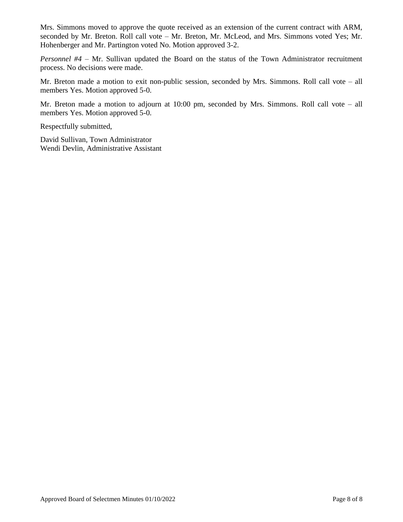Mrs. Simmons moved to approve the quote received as an extension of the current contract with ARM, seconded by Mr. Breton. Roll call vote – Mr. Breton, Mr. McLeod, and Mrs. Simmons voted Yes; Mr. Hohenberger and Mr. Partington voted No. Motion approved 3-2.

*Personnel #4* – Mr. Sullivan updated the Board on the status of the Town Administrator recruitment process. No decisions were made.

Mr. Breton made a motion to exit non-public session, seconded by Mrs. Simmons. Roll call vote – all members Yes. Motion approved 5-0.

Mr. Breton made a motion to adjourn at 10:00 pm, seconded by Mrs. Simmons. Roll call vote – all members Yes. Motion approved 5-0.

Respectfully submitted,

David Sullivan, Town Administrator Wendi Devlin, Administrative Assistant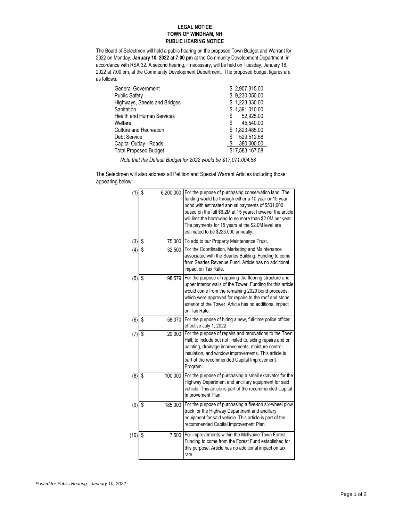## **LEGAL NOTICE TOWN OF WINDHAM, NH PUBLIC HEARING NOTICE**

The Board of Selectmen will hold a public hearing on the proposed Town Budget and Warrant for 2022 on Monday, **January 10, 2022 at 7:00 pm** at the Community Development Department, in accordance with RSA 32. A second hearing, if necessary, will be held on Tuesday, January 18, 2022 at 7:00 pm, at the Community Development Department. The proposed budget figures are as follows:

| <b>General Government</b>        | \$2,907,315.00  |
|----------------------------------|-----------------|
| <b>Public Safety</b>             | \$9.230.050.00  |
| Highways, Streets and Bridges    | \$1,223,330.00  |
| Sanitation                       | \$1,391,010.00  |
| <b>Health and Human Services</b> | 52.925.00<br>\$ |
| Welfare                          | 45.540.00<br>\$ |
| Culture and Recreation           | \$1.823.485.00  |
| Debt Service                     | 529,512.58<br>S |
| Capital Outlay - Roads           | 380,000.00      |
| <b>Total Proposed Budget</b>     | \$17,583,167.58 |

 *Note that the Default Budget for 2022 would be \$17,071,004.58*

The Selectmen will also address all Petition and Special Warrant Articles including those appearing below:

| (1)  | \$<br>6,200,000 | For the purpose of purchasing conservation land. The<br>funding would be through either a 10 year or 15 year<br>bond with estimated annual payments of \$501,000<br>based on the full \$6.2M at 15 years; however the article<br>will limit the borrowing to no more than \$2.0M per year.<br>The payments for 15 years at the \$2.0M level are<br>estimated to be \$223,000 annually. |
|------|-----------------|----------------------------------------------------------------------------------------------------------------------------------------------------------------------------------------------------------------------------------------------------------------------------------------------------------------------------------------------------------------------------------------|
| (3)  | \$<br>75,000    | To add to our Property Maintenance Trust.                                                                                                                                                                                                                                                                                                                                              |
| (4)  | \$<br>32,500    | For the Coordination, Marketing and Maintenance<br>associated with the Searles Building. Funding to come<br>from Searles Revenue Fund. Article has no additional<br>impact on Tax Rate.                                                                                                                                                                                                |
| (5)  | \$<br>98,579    | For the purpose of repairing the flooring structure and<br>upper interior walls of the Tower. Funding for this article<br>would come from the remaining 2020 bond proceeds,<br>which were approved for repairs to the roof and stone<br>exterior of the Tower. Article has no additional impact<br>on Tax Rate.                                                                        |
| (6)  | \$<br>58,070    | For the purpose of hiring a new, full-time police officer<br>effective July 1, 2022                                                                                                                                                                                                                                                                                                    |
| (7)  | \$<br>20,000    | For the purpose of repairs and renovations to the Town<br>Hall, to include but not limited to, siding repairs and or<br>painting, drainage improvements, moisture control,<br>insulation, and window improvements. This article is<br>part of the recommended Capital Improvement<br>Program.                                                                                          |
| (8)  | \$<br>100,000   | For the purpose of purchasing a small excavator for the<br>Highway Department and ancillary equipment for said<br>vehicle. This article is part of the recommended Capital<br>Improvement Plan.                                                                                                                                                                                        |
| (9)  | \$<br>185,000   | For the purpose of purchasing a five-ton six-wheel plow<br>truck for the Highway Department and ancillary<br>equipment for said vehicle. This article is part of the<br>recommended Capital Improvement Plan.                                                                                                                                                                          |
| (10) | \$<br>7,500     | For improvements within the McIIvaine Town Forest.<br>Funding to come from the Forest Fund established for<br>this purpose. Article has no additional impact on tax<br>rate.                                                                                                                                                                                                           |